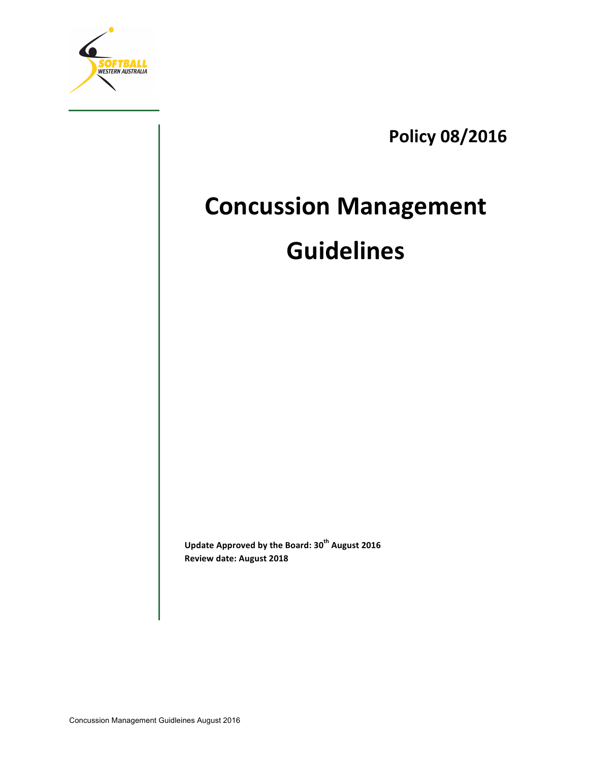

**Policy 08/2016**

# **Concussion Management Guidelines**

**Update Approved by the Board: 30th August 2016 Review date: August 2018**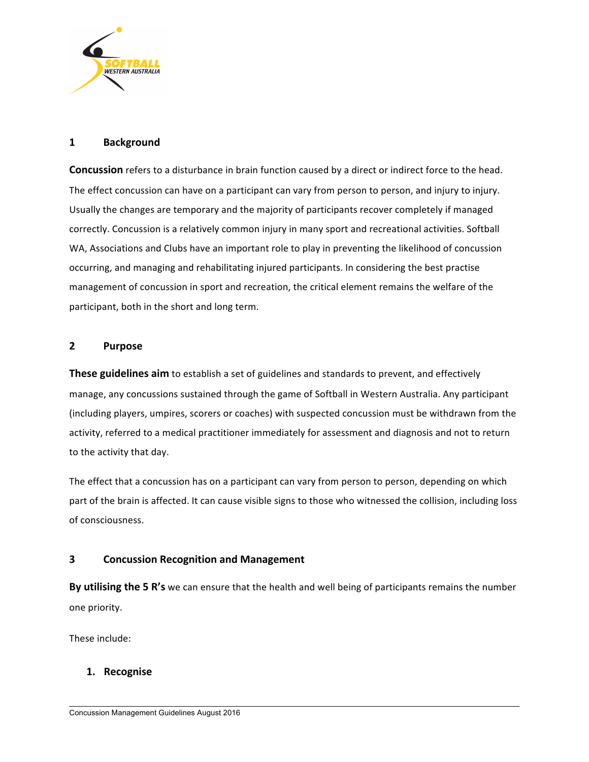

# 1 **Background**

**Concussion** refers to a disturbance in brain function caused by a direct or indirect force to the head. The effect concussion can have on a participant can vary from person to person, and injury to injury. Usually the changes are temporary and the majority of participants recover completely if managed correctly. Concussion is a relatively common injury in many sport and recreational activities. Softball WA, Associations and Clubs have an important role to play in preventing the likelihood of concussion occurring, and managing and rehabilitating injured participants. In considering the best practise management of concussion in sport and recreation, the critical element remains the welfare of the participant, both in the short and long term.

# **2 Purpose**

**These guidelines aim** to establish a set of guidelines and standards to prevent, and effectively manage, any concussions sustained through the game of Softball in Western Australia. Any participant (including players, umpires, scorers or coaches) with suspected concussion must be withdrawn from the activity, referred to a medical practitioner immediately for assessment and diagnosis and not to return to the activity that day.

The effect that a concussion has on a participant can vary from person to person, depending on which part of the brain is affected. It can cause visible signs to those who witnessed the collision, including loss of consciousness.

# **3 Concussion Recognition and Management**

By utilising the 5 R's we can ensure that the health and well being of participants remains the number one priority.

These include:

# **1. Recognise**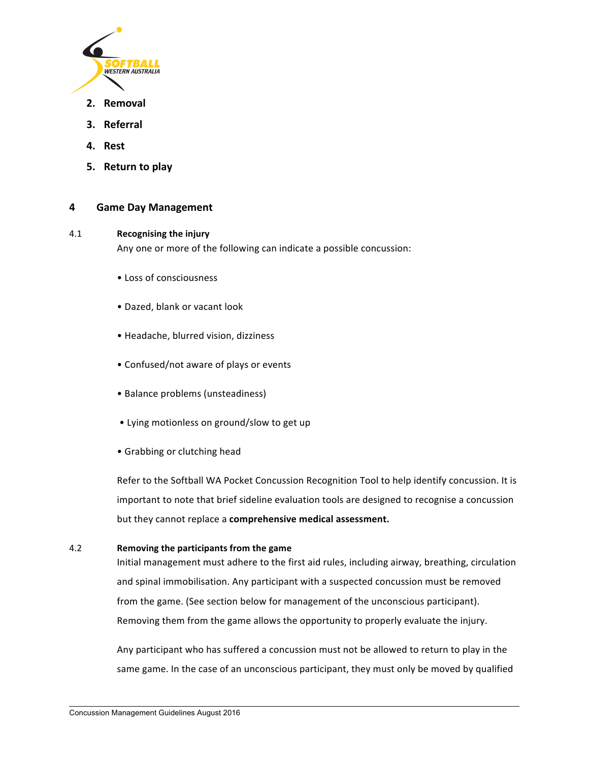

- **2. Removal**
- **3. Referral**
- **4. Rest**
- **5.** Return to play

# **4 Game Day Management**

### 4.1 **Recognising the injury**

Any one or more of the following can indicate a possible concussion:

- • Loss of consciousness
- Dazed, blank or vacant look
- Headache, blurred vision, dizziness
- Confused/not aware of plays or events
- Balance problems (unsteadiness)
- Lying motionless on ground/slow to get up
- Grabbing or clutching head

Refer to the Softball WA Pocket Concussion Recognition Tool to help identify concussion. It is important to note that brief sideline evaluation tools are designed to recognise a concussion but they cannot replace a **comprehensive medical assessment.** 

### 4.2 **Removing the participants from the game**

Initial management must adhere to the first aid rules, including airway, breathing, circulation and spinal immobilisation. Any participant with a suspected concussion must be removed from the game. (See section below for management of the unconscious participant). Removing them from the game allows the opportunity to properly evaluate the injury.

Any participant who has suffered a concussion must not be allowed to return to play in the same game. In the case of an unconscious participant, they must only be moved by qualified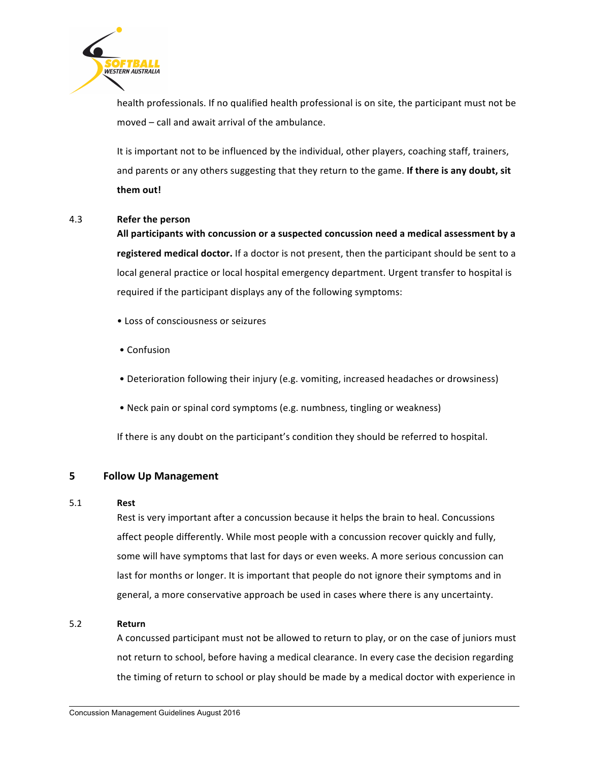

health professionals. If no qualified health professional is on site, the participant must not be moved  $-$  call and await arrival of the ambulance.

It is important not to be influenced by the individual, other players, coaching staff, trainers, and parents or any others suggesting that they return to the game. If there is any doubt, sit **them out!**

# 4.3 **Refer the person**

All participants with concussion or a suspected concussion need a medical assessment by a registered medical doctor. If a doctor is not present, then the participant should be sent to a local general practice or local hospital emergency department. Urgent transfer to hospital is required if the participant displays any of the following symptoms:

- Loss of consciousness or seizures
- • Confusion
- Deterioration following their injury (e.g. vomiting, increased headaches or drowsiness)
- Neck pain or spinal cord symptoms (e.g. numbness, tingling or weakness)

If there is any doubt on the participant's condition they should be referred to hospital.

# **5 Follow Up Management**

### 5.1 **Rest**

Rest is very important after a concussion because it helps the brain to heal. Concussions affect people differently. While most people with a concussion recover quickly and fully, some will have symptoms that last for days or even weeks. A more serious concussion can last for months or longer. It is important that people do not ignore their symptoms and in general, a more conservative approach be used in cases where there is any uncertainty.

### 5.2 **Return**

A concussed participant must not be allowed to return to play, or on the case of juniors must not return to school, before having a medical clearance. In every case the decision regarding the timing of return to school or play should be made by a medical doctor with experience in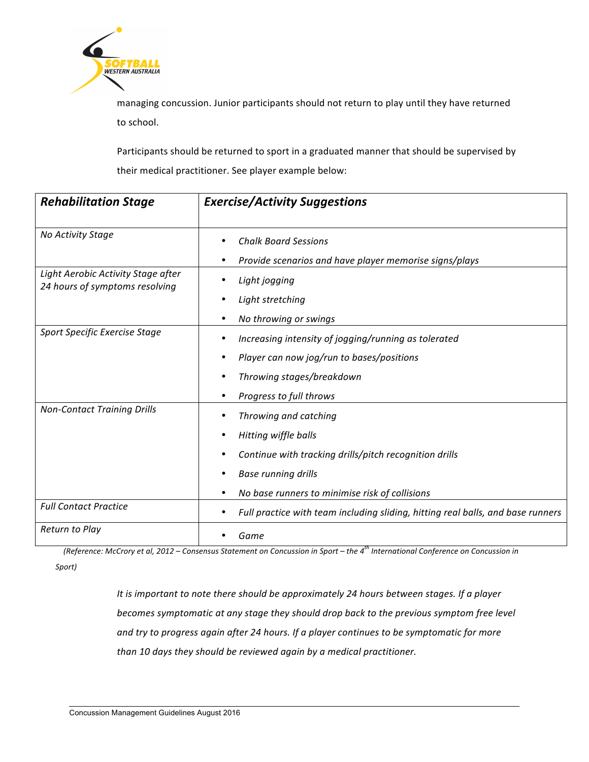

managing concussion. Junior participants should not return to play until they have returned to school.

Participants should be returned to sport in a graduated manner that should be supervised by their medical practitioner. See player example below:

| <b>Rehabilitation Stage</b>                                          | <b>Exercise/Activity Suggestions</b>                                                                                                                                                             |
|----------------------------------------------------------------------|--------------------------------------------------------------------------------------------------------------------------------------------------------------------------------------------------|
| No Activity Stage                                                    | <b>Chalk Board Sessions</b><br>$\bullet$<br>Provide scenarios and have player memorise signs/plays<br>$\bullet$                                                                                  |
| Light Aerobic Activity Stage after<br>24 hours of symptoms resolving | Light jogging<br>Light stretching<br>No throwing or swings                                                                                                                                       |
| <b>Sport Specific Exercise Stage</b>                                 | Increasing intensity of jogging/running as tolerated<br>Player can now jog/run to bases/positions<br>$\bullet$<br>Throwing stages/breakdown<br>$\bullet$<br>Progress to full throws<br>$\bullet$ |
| <b>Non-Contact Training Drills</b>                                   | Throwing and catching<br>Hitting wiffle balls<br>٠<br>Continue with tracking drills/pitch recognition drills<br><b>Base running drills</b><br>No base runners to minimise risk of collisions     |
| <b>Full Contact Practice</b>                                         | Full practice with team including sliding, hitting real balls, and base runners<br>٠                                                                                                             |
| Return to Play                                                       | Game                                                                                                                                                                                             |

 *(Reference: McCrory et al, 2012 – Consensus Statement on Concussion in Sport – the 4th International Conference on Concussion in Sport)*

> It is important to note there should be approximately 24 hours between stages. If a player *becomes symptomatic at any stage they should drop back to the previous symptom free level* and try to progress again after 24 hours. If a player continues to be symptomatic for more than 10 days they should be reviewed again by a medical practitioner.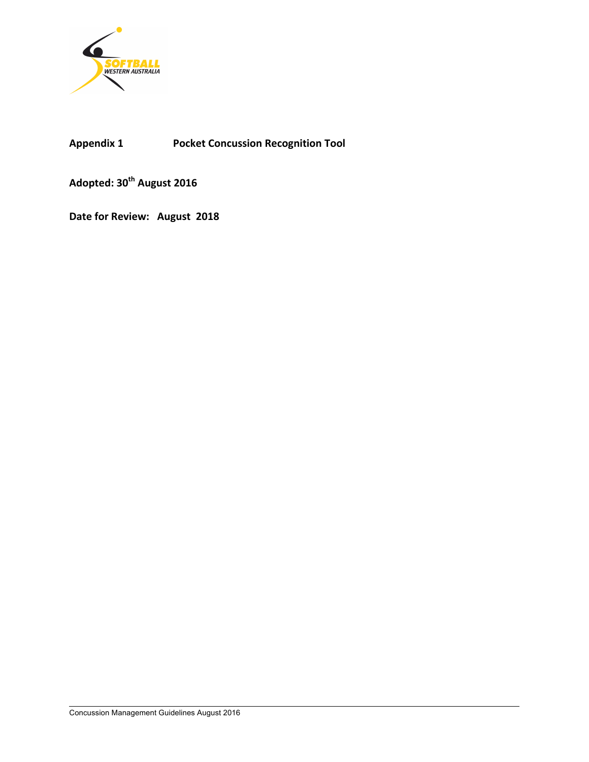

**Appendix 1 Pocket Concussion Recognition Tool** 

**Adopted: 30th August 2016**

Date for Review: August 2018